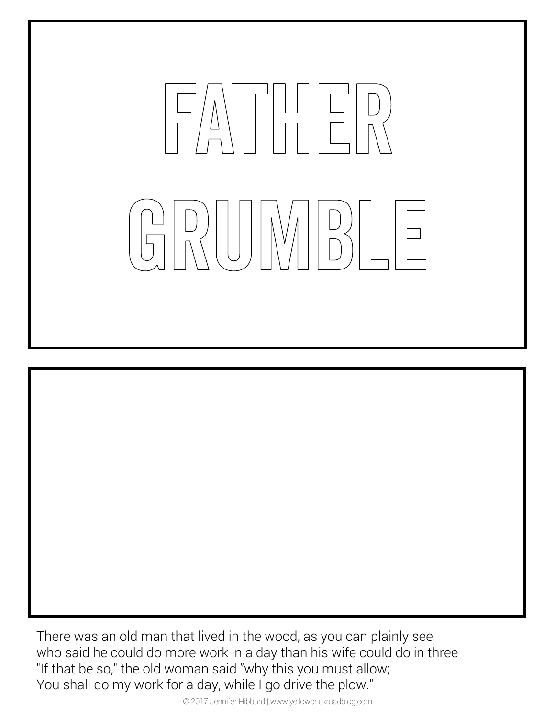

There was an old man that lived in the wood, as you can plainly see who said he could do more work in a day than his wife could do in three "If that be so," the old woman said "why this you must allow; You shall do my work for a day, while I go drive the plow."

© 2017 Jennifer Hibbard | www.yellowbrickroadblog.com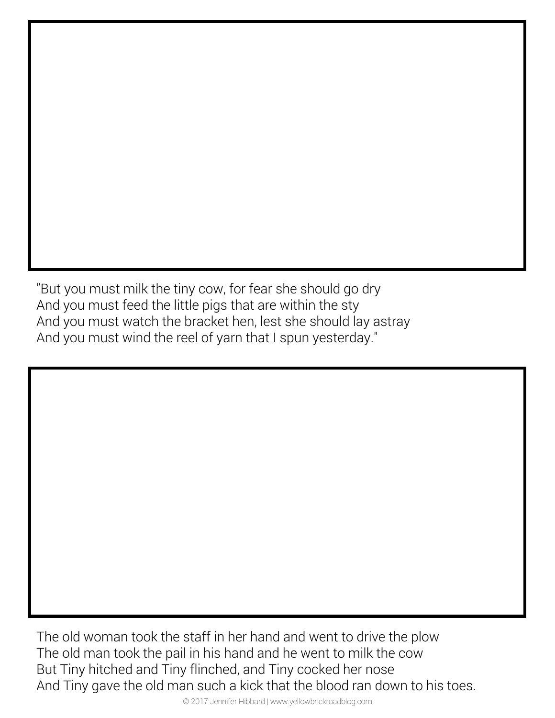"But you must milk the tiny cow, for fear she should go dry And you must feed the little pigs that are within the sty And you must watch the bracket hen, lest she should lay astray And you must wind the reel of yarn that I spun yesterday."

The old woman took the staff in her hand and went to drive the plow The old man took the pail in his hand and he went to milk the cow But Tiny hitched and Tiny flinched, and Tiny cocked her nose And Tiny gave the old man such a kick that the blood ran down to his toes.